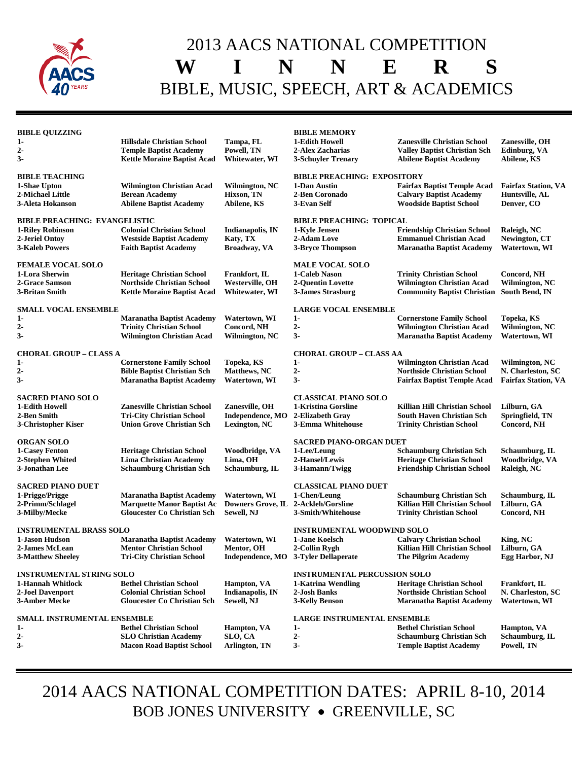

## 2013 AACS NATIONAL COMPETITION **W I N N E R S** BIBLE, MUSIC, SPEECH, ART & ACADEMICS

| <b>BIBLE QUIZZING</b>                |                                    |                          | <b>BIBLE MEMORY</b>                  |                                                   |                            |  |
|--------------------------------------|------------------------------------|--------------------------|--------------------------------------|---------------------------------------------------|----------------------------|--|
| 1-                                   | <b>Hillsdale Christian School</b>  | Tampa, FL                | 1-Edith Howell                       | <b>Zanesville Christian School</b>                | Zanesville, OH             |  |
| 2-                                   | <b>Temple Baptist Academy</b>      | Powell, TN               | 2-Alex Zacharias                     | <b>Valley Baptist Christian Sch</b>               | Edinburg, VA               |  |
| 3-                                   | <b>Kettle Moraine Baptist Acad</b> | Whitewater, WI           | 3-Schuyler Trenary                   | <b>Abilene Baptist Academy</b>                    | Abilene, KS                |  |
| <b>BIBLE TEACHING</b>                |                                    |                          | <b>BIBLE PREACHING: EXPOSITORY</b>   |                                                   |                            |  |
| 1-Shae Upton                         | <b>Wilmington Christian Acad</b>   | Wilmington, NC           | 1-Dan Austin                         | <b>Fairfax Baptist Temple Acad</b>                | <b>Fairfax Station, VA</b> |  |
| 2-Michael Little                     | <b>Berean Academy</b>              | Hixson, TN               | 2-Ben Coronado                       | <b>Calvary Baptist Academy</b>                    | Huntsville, AL             |  |
| 3-Aleta Hokanson                     | <b>Abilene Baptist Academy</b>     | Abilene, KS              | 3-Evan Self                          | <b>Woodside Baptist School</b>                    | Denver, CO                 |  |
| <b>BIBLE PREACHING: EVANGELISTIC</b> |                                    |                          | <b>BIBLE PREACHING: TOPICAL</b>      |                                                   |                            |  |
| 1-Riley Robinson                     | <b>Colonial Christian School</b>   | <b>Indianapolis, IN</b>  | 1-Kyle Jensen                        | <b>Friendship Christian School</b>                | Raleigh, NC                |  |
| 2-Jeriel Ontoy                       | <b>Westside Baptist Academy</b>    | Katy, TX                 | 2-Adam Love                          | <b>Emmanuel Christian Acad</b>                    | Newington, CT              |  |
| <b>3-Kaleb Powers</b>                | <b>Faith Baptist Academy</b>       | <b>Broadway</b> , VA     | <b>3-Bryce Thompson</b>              | <b>Maranatha Baptist Academy</b>                  | Watertown, WI              |  |
| <b>FEMALE VOCAL SOLO</b>             |                                    |                          | <b>MALE VOCAL SOLO</b>               |                                                   |                            |  |
| 1-Lora Sherwin                       | <b>Heritage Christian School</b>   | Frankfort, IL            | 1-Caleb Nason                        | <b>Trinity Christian School</b>                   | Concord, NH                |  |
| 2-Grace Samson                       | <b>Northside Christian School</b>  | Westerville, OH          | 2-Quentin Lovette                    | <b>Wilmington Christian Acad</b>                  | Wilmington, NC             |  |
| 3-Britan Smith                       | <b>Kettle Moraine Baptist Acad</b> | Whitewater, WI           | <b>3-James Strasburg</b>             | <b>Community Baptist Christian South Bend, IN</b> |                            |  |
| <b>SMALL VOCAL ENSEMBLE</b>          |                                    |                          | <b>LARGE VOCAL ENSEMBLE</b>          |                                                   |                            |  |
| 1-                                   | <b>Maranatha Baptist Academy</b>   | Watertown, WI            | $1-$                                 | <b>Cornerstone Family School</b>                  | Topeka, KS                 |  |
| $2-$                                 | <b>Trinity Christian School</b>    | Concord, NH              | $2 -$                                | <b>Wilmington Christian Acad</b>                  | Wilmington, NC             |  |
| 3-                                   | <b>Wilmington Christian Acad</b>   | Wilmington, NC           | $3-$                                 | Maranatha Baptist Academy                         | Watertown, WI              |  |
| <b>CHORAL GROUP – CLASS A</b>        |                                    |                          | <b>CHORAL GROUP – CLASS AA</b>       |                                                   |                            |  |
| $1-$                                 | <b>Cornerstone Family School</b>   | Topeka, KS               | 1-                                   | Wilmington Christian Acad                         | Wilmington, NC             |  |
| $2-$                                 | <b>Bible Baptist Christian Sch</b> | <b>Matthews, NC</b>      | $2-$                                 | <b>Northside Christian School</b>                 | N. Charleston, SC          |  |
| 3-                                   | <b>Maranatha Baptist Academy</b>   | Watertown, WI            | $3-$                                 | <b>Fairfax Baptist Temple Acad</b>                | <b>Fairfax Station, VA</b> |  |
| <b>SACRED PIANO SOLO</b>             |                                    |                          | <b>CLASSICAL PIANO SOLO</b>          |                                                   |                            |  |
| 1-Edith Howell                       | <b>Zanesville Christian School</b> | Zanesville, OH           | 1-Kristina Gorsline                  | Killian Hill Christian School                     | Lilburn, GA                |  |
| 2-Ben Smith                          | <b>Tri-City Christian School</b>   | Independence, MO         | 2-Elizabeth Gray                     | South Haven Christian Sch                         | Springfield, TN            |  |
| 3-Christopher Kiser                  | <b>Union Grove Christian Sch</b>   | Lexington, NC            | 3-Emma Whitehouse                    | <b>Trinity Christian School</b>                   | Concord, NH                |  |
| <b>ORGAN SOLO</b>                    |                                    |                          | <b>SACRED PIANO-ORGAN DUET</b>       |                                                   |                            |  |
| <b>1-Casey Fenton</b>                | <b>Heritage Christian School</b>   | Woodbridge, VA           | 1-Lee/Leung                          | <b>Schaumburg Christian Sch</b>                   | Schaumburg, IL             |  |
| 2-Stephen Whited                     | <b>Lima Christian Academy</b>      | Lima, OH                 | 2-Hansel/Lewis                       | <b>Heritage Christian School</b>                  | Woodbridge, VA             |  |
| 3-Jonathan Lee                       | <b>Schaumburg Christian Sch</b>    | Schaumburg, IL           | 3-Hamann/Twigg                       | <b>Friendship Christian School</b>                | Raleigh, NC                |  |
| SACRED PIANO DUET                    |                                    |                          | <b>CLASSICAL PIANO DUET</b>          |                                                   |                            |  |
| 1-Prigge/Prigge                      | <b>Maranatha Baptist Academy</b>   | Watertown, WI            | 1-Chen/Leung                         | <b>Schaumburg Christian Sch</b>                   | Schaumburg, IL             |  |
| 2-Primm/Schlagel                     | <b>Marquette Manor Baptist Ac</b>  | <b>Downers Grove, IL</b> | 2-Ackleh/Gorsline                    | Killian Hill Christian School                     | Lilburn, GA                |  |
| 3-Milby/Mecke                        | <b>Gloucester Co Christian Sch</b> | Sewell, NJ               | 3-Smith/Whitehouse                   | <b>Trinity Christian School</b>                   | Concord, NH                |  |
| <b>INSTRUMENTAL BRASS SOLO</b>       |                                    |                          | <b>INSTRUMENTAL WOODWIND SOLO</b>    |                                                   |                            |  |
| 1-Jason Hudson                       | <b>Maranatha Baptist Academy</b>   | Watertown, WI            | 1-Jane Koelsch                       | <b>Calvary Christian School</b>                   | King, NC                   |  |
| 2-James McLean                       | <b>Mentor Christian School</b>     | Mentor, OH               | 2-Collin Rygh                        | Killian Hill Christian School                     | Lilburn, GA                |  |
| <b>3-Matthew Sheeley</b>             | <b>Tri-City Christian School</b>   |                          | Independence, MO 3-Tyler Dellaperate | The Pilgrim Academy                               | Egg Harbor, NJ             |  |
| <b>INSTRUMENTAL STRING SOLO</b>      |                                    |                          | <b>INSTRUMENTAL PERCUSSION SOLO</b>  |                                                   |                            |  |
| 1-Hannah Whitlock                    | <b>Bethel Christian School</b>     | <b>Hampton</b> , VA      | 1-Katrina Wendling                   | <b>Heritage Christian School</b>                  | Frankfort, IL              |  |
| 2-Joel Davenport                     | <b>Colonial Christian School</b>   | <b>Indianapolis, IN</b>  | 2-Josh Banks                         | <b>Northside Christian School</b>                 | N. Charleston, SC          |  |
| 3-Amber Mecke                        | <b>Gloucester Co Christian Sch</b> | Sewell, NJ               | <b>3-Kelly Benson</b>                | <b>Maranatha Baptist Academy</b>                  | Watertown, WI              |  |
| SMALL INSTRUMENTAL ENSEMBLE          |                                    |                          | <b>LARGE INSTRUMENTAL ENSEMBLE</b>   |                                                   |                            |  |
| 1-                                   | <b>Bethel Christian School</b>     | <b>Hampton</b> , VA      | $1 -$                                | <b>Bethel Christian School</b>                    | <b>Hampton</b> , VA        |  |
| $2-$                                 | <b>SLO Christian Academy</b>       | SLO, CA                  | $2-$                                 | <b>Schaumburg Christian Sch</b>                   | Schaumburg, IL             |  |
| $3-$                                 | <b>Macon Road Baptist School</b>   | Arlington, TN            | $3-$                                 | <b>Temple Baptist Academy</b>                     | Powell, TN                 |  |
|                                      |                                    |                          |                                      |                                                   |                            |  |

2014 AACS NATIONAL COMPETITION DATES: APRIL 8-10, 2014 BOB JONES UNIVERSITY • GREENVILLE, SC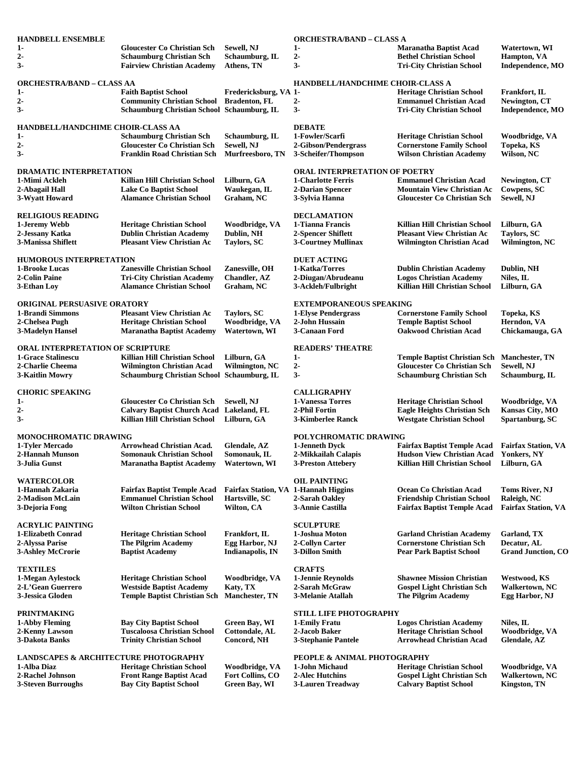| <b>HANDBELL ENSEMBLE</b>                         |                                                                           |                                             | <b>ORCHESTRA/BAND - CLASS A</b>                  |                                                                         |                                    |
|--------------------------------------------------|---------------------------------------------------------------------------|---------------------------------------------|--------------------------------------------------|-------------------------------------------------------------------------|------------------------------------|
| 1-                                               | <b>Gloucester Co Christian Sch</b>                                        | Sewell, NJ                                  | $1-$                                             | Maranatha Baptist Acad                                                  | Watertown, WI                      |
| 2-                                               | <b>Schaumburg Christian Sch</b>                                           | Schaumburg, IL                              | $2 -$                                            | <b>Bethel Christian School</b>                                          | Hampton, VA                        |
| 3-                                               | <b>Fairview Christian Academy</b>                                         | Athens, TN                                  | $3-$                                             | <b>Tri-City Christian School</b>                                        | Independence, MO                   |
| <b>ORCHESTRA/BAND - CLASS AA</b>                 |                                                                           |                                             | <b>HANDBELL/HANDCHIME CHOIR-CLASS A</b>          |                                                                         |                                    |
| 1-                                               | <b>Faith Baptist School</b>                                               | Fredericksburg, VA 1-                       |                                                  | <b>Heritage Christian School</b>                                        | Frankfort, IL                      |
| 2-                                               | <b>Community Christian School</b>                                         | <b>Bradenton, FL</b>                        | $2 -$                                            | <b>Emmanuel Christian Acad</b>                                          | Newington, CT                      |
| 3-                                               | Schaumburg Christian School Schaumburg, IL                                |                                             | $3-$                                             | <b>Tri-City Christian School</b>                                        | Independence, MO                   |
| HANDBELL/HANDCHIME CHOIR-CLASS AA                |                                                                           |                                             | <b>DEBATE</b>                                    |                                                                         |                                    |
| 1-                                               | <b>Schaumburg Christian Sch</b>                                           | Schaumburg, IL                              | 1-Fowler/Scarfi                                  | <b>Heritage Christian School</b>                                        | Woodbridge, VA                     |
| $2 -$                                            | <b>Gloucester Co Christian Sch</b>                                        | Sewell, NJ                                  | 2-Gibson/Pendergrass                             | <b>Cornerstone Family School</b>                                        | Topeka, KS                         |
| 3-                                               | <b>Franklin Road Christian Sch</b>                                        | Murfreesboro, TN                            | 3-Scheifer/Thompson                              | <b>Wilson Christian Academy</b>                                         | Wilson, NC                         |
| <b>DRAMATIC INTERPRETATION</b>                   |                                                                           |                                             | <b>ORAL INTERPRETATION OF POETRY</b>             |                                                                         |                                    |
| 1-Mimi Ackleh                                    | Killian Hill Christian School                                             | Lilburn, GA                                 | 1-Charlotte Ferris                               | <b>Emmanuel Christian Acad</b>                                          | Newington, CT                      |
| 2-Abagail Hall                                   | Lake Co Baptist School                                                    | Waukegan, IL                                | 2-Darian Spencer                                 | <b>Mountain View Christian Ac</b>                                       | Cowpens, SC                        |
| 3-Wyatt Howard                                   | <b>Alamance Christian School</b>                                          | Graham, NC                                  | 3-Sylvia Hanna                                   | <b>Gloucester Co Christian Sch</b>                                      | Sewell, NJ                         |
| <b>RELIGIOUS READING</b>                         |                                                                           |                                             | <b>DECLAMATION</b>                               |                                                                         |                                    |
| 1-Jeremy Webb                                    | <b>Heritage Christian School</b>                                          | Woodbridge, VA                              | 1-Tianna Francis                                 | <b>Killian Hill Christian School</b>                                    | Lilburn, GA                        |
| 2-Jessany Katka                                  | <b>Dublin Christian Academy</b>                                           | Dublin, NH                                  | 2-Spencer Shiflett                               | <b>Pleasant View Christian Ac</b>                                       | Taylors, SC                        |
| 3-Manissa Shiflett                               | <b>Pleasant View Christian Ac</b>                                         | Taylors, SC                                 | <b>3-Courtney Mullinax</b>                       | <b>Wilmington Christian Acad</b>                                        | Wilmington, NC                     |
| <b>HUMOROUS INTERPRETATION</b>                   |                                                                           |                                             | <b>DUET ACTING</b>                               |                                                                         |                                    |
| 1-Brooke Lucas                                   | <b>Zanesville Christian School</b>                                        | Zanesville, OH                              | 1-Katka/Torres                                   | <b>Dublin Christian Academy</b>                                         | Dublin, NH                         |
| 2-Colin Paine                                    | <b>Tri-City Christian Academy</b>                                         | <b>Chandler, AZ</b>                         | 2-Diugan/Abrudeanu                               | <b>Logos Christian Academy</b>                                          | Niles, IL                          |
| 3-Ethan Loy                                      | <b>Alamance Christian School</b>                                          | Graham, NC                                  | 3-Ackleh/Fulbright                               | <b>Killian Hill Christian School</b>                                    | Lilburn, GA                        |
| <b>ORIGINAL PERSUASIVE ORATORY</b>               |                                                                           |                                             | <b>EXTEMPORANEOUS SPEAKING</b>                   |                                                                         |                                    |
| 1-Brandi Simmons                                 | <b>Pleasant View Christian Ac</b>                                         | <b>Taylors, SC</b>                          | <b>1-Elyse Pendergrass</b>                       | <b>Cornerstone Family School</b>                                        | Topeka, KS                         |
| 2-Chelsea Pugh                                   | <b>Heritage Christian School</b>                                          | Woodbridge, VA                              | 2-John Hussain                                   | <b>Temple Baptist School</b>                                            | Herndon, VA                        |
| 3-Madelyn Hansel                                 | <b>Maranatha Baptist Academy</b>                                          | Watertown, WI                               | 3-Canaan Ford                                    | <b>Oakwood Christian Acad</b>                                           | Chickamauga, GA                    |
| ORAL INTERPRETATION OF SCRIPTURE                 |                                                                           |                                             | <b>READERS' THEATRE</b>                          |                                                                         |                                    |
|                                                  |                                                                           |                                             |                                                  |                                                                         |                                    |
| <b>1-Grace Stalinescu</b>                        | Killian Hill Christian School                                             | Lilburn, GA                                 | $1-$<br>$2-$                                     | <b>Temple Baptist Christian Sch</b>                                     | <b>Manchester, TN</b>              |
| 2-Charlie Cheema<br>3-Kaitlin Mowry              | Wilmington Christian Acad<br>Schaumburg Christian School Schaumburg, IL   | Wilmington, NC                              | $3-$                                             | <b>Gloucester Co Christian Sch</b><br><b>Schaumburg Christian Sch</b>   | Sewell, NJ<br>Schaumburg, IL       |
|                                                  |                                                                           |                                             |                                                  |                                                                         |                                    |
| <b>CHORIC SPEAKING</b>                           |                                                                           |                                             | <b>CALLIGRAPHY</b>                               |                                                                         |                                    |
| 1-                                               | <b>Gloucester Co Christian Sch</b>                                        | Sewell, NJ                                  | <b>1-Vanessa Torres</b>                          | <b>Heritage Christian School</b>                                        | Woodbridge, VA                     |
| $2-$<br>3-                                       | Calvary Baptist Church Acad Lakeland, FL<br>Killian Hill Christian School | Lilburn, GA                                 | 2-Phil Fortin<br><b>3-Kimberlee Ranck</b>        | <b>Eagle Heights Christian Sch</b><br>Westgate Christian School         | Kansas City, MO<br>Spartanburg, SC |
|                                                  |                                                                           |                                             |                                                  |                                                                         |                                    |
| <b>MONOCHROMATIC DRAWING</b>                     |                                                                           |                                             | POLYCHROMATIC DRAWING                            |                                                                         |                                    |
| 1-Tyler Mercado                                  | <b>Arrowhead Christian Acad.</b>                                          | Glendale, AZ                                | 1-Jenneth Dyck                                   | <b>Fairfax Baptist Temple Acad</b>                                      | <b>Fairfax Station, VA</b>         |
| 2-Hannah Munson<br>3-Julia Gunst                 | <b>Somonauk Christian School</b><br><b>Maranatha Baptist Academy</b>      | Somonauk, IL<br>Watertown, WI               | 2-Mikkailah Calapis<br><b>3-Preston Attebery</b> | Hudson View Christian Acad Yonkers, NY<br>Killian Hill Christian School | Lilburn, GA                        |
|                                                  |                                                                           |                                             |                                                  |                                                                         |                                    |
| <b>WATERCOLOR</b>                                |                                                                           |                                             | <b>OIL PAINTING</b>                              |                                                                         |                                    |
| 1-Hannah Zakaria                                 | <b>Fairfax Baptist Temple Acad</b>                                        | <b>Fairfax Station, VA 1-Hannah Higgins</b> |                                                  | <b>Ocean Co Christian Acad</b>                                          | <b>Toms River, NJ</b>              |
| 2-Madison McLain                                 | <b>Emmanuel Christian School</b>                                          | Hartsville, SC                              | 2-Sarah Oakley                                   | <b>Friendship Christian School</b>                                      | Raleigh, NC                        |
| 3-Dejoria Fong                                   | <b>Wilton Christian School</b>                                            | Wilton, CA                                  | 3-Annie Castilla                                 | <b>Fairfax Baptist Temple Acad</b>                                      | <b>Fairfax Station, VA</b>         |
| <b>ACRYLIC PAINTING</b>                          |                                                                           |                                             | <b>SCULPTURE</b>                                 |                                                                         |                                    |
| 1-Elizabeth Conrad                               | <b>Heritage Christian School</b>                                          | Frankfort, IL                               | 1-Joshua Moton                                   | <b>Garland Christian Academy</b>                                        | Garland, TX                        |
| 2-Alyssa Parise                                  | <b>The Pilgrim Academy</b>                                                | Egg Harbor, NJ                              | 2-Collyn Carter                                  | <b>Cornerstone Christian Sch</b>                                        | Decatur, AL                        |
| 3-Ashley McCrorie                                | <b>Baptist Academy</b>                                                    | <b>Indianapolis, IN</b>                     | <b>3-Dillon Smith</b>                            | <b>Pear Park Baptist School</b>                                         | <b>Grand Junction, CO</b>          |
| <b>TEXTILES</b>                                  |                                                                           |                                             | <b>CRAFTS</b>                                    |                                                                         |                                    |
| 1-Megan Aylestock                                | <b>Heritage Christian School</b>                                          | Woodbridge, VA                              | 1-Jennie Reynolds                                | <b>Shawnee Mission Christian</b>                                        | Westwood, KS                       |
| 2-L'Gean Guerrero                                | <b>Westside Baptist Academy</b>                                           | Katy, TX                                    | 2-Sarah McGraw                                   | <b>Gospel Light Christian Sch</b>                                       | Walkertown, NC                     |
| 3-Jessica Gloden                                 | <b>Temple Baptist Christian Sch</b>                                       | Manchester, TN                              | 3-Melanie Atallah                                | <b>The Pilgrim Academy</b>                                              | Egg Harbor, NJ                     |
| PRINTMAKING                                      |                                                                           |                                             | <b>STILL LIFE PHOTOGRAPHY</b>                    |                                                                         |                                    |
| 1-Abby Fleming                                   | <b>Bay City Baptist School</b>                                            | Green Bay, WI                               | 1-Emily Fratu                                    | <b>Logos Christian Academy</b>                                          | Niles, IL                          |
| 2-Kenny Lawson                                   | <b>Tuscaloosa Christian School</b>                                        | <b>Cottondale, AL</b>                       | 2-Jacob Baker                                    | <b>Heritage Christian School</b>                                        | Woodbridge, VA                     |
| 3-Dakota Banks                                   | <b>Trinity Christian School</b>                                           | Concord, NH                                 | 3-Stephanie Pantele                              | <b>Arrowhead Christian Acad</b>                                         | Glendale, AZ                       |
| <b>LANDSCAPES &amp; ARCHITECTURE PHOTOGRAPHY</b> |                                                                           |                                             | PEOPLE & ANIMAL PHOTOGRAPHY                      |                                                                         |                                    |
| 1-Alba Diaz                                      | <b>Heritage Christian School</b>                                          | Woodbridge, VA                              | 1-John Michaud                                   | <b>Heritage Christian School</b>                                        | Woodbridge, VA                     |
| 2-Rachel Johnson                                 | <b>Front Range Baptist Acad</b>                                           | Fort Collins, CO                            | 2-Alec Hutchins                                  | <b>Gospel Light Christian Sch</b>                                       | Walkertown, NC                     |
| 3-Steven Burroughs                               | <b>Bay City Baptist School</b>                                            | <b>Green Bay, WI</b>                        | <b>3-Lauren Treadway</b>                         | <b>Calvary Baptist School</b>                                           | Kingston, TN                       |
|                                                  |                                                                           |                                             |                                                  |                                                                         |                                    |